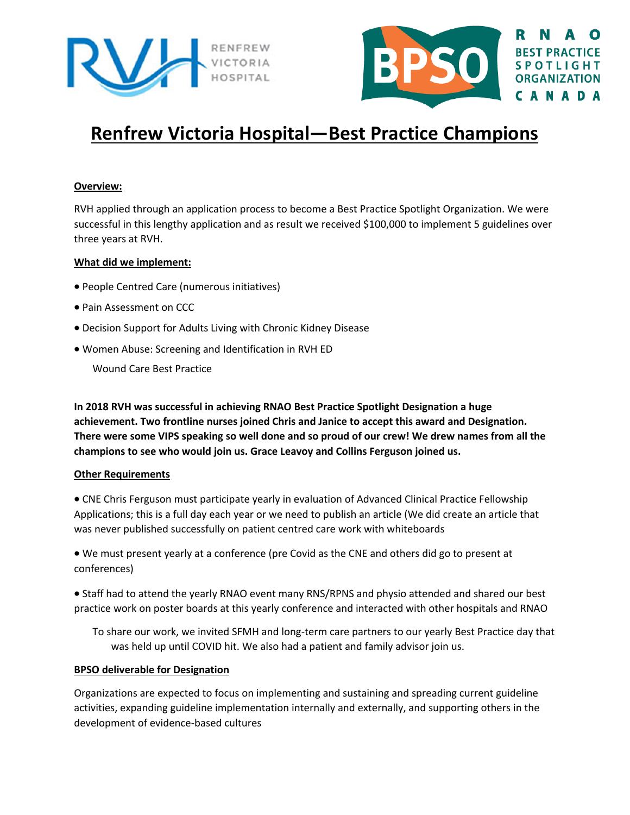



# **Renfrew Victoria Hospital—Best Practice Champions**

### **Overview:**

RVH applied through an application process to become a Best Practice Spotlight Organization. We were successful in this lengthy application and as result we received \$100,000 to implement 5 guidelines over three years at RVH.

### **What did we implement:**

- People Centred Care (numerous initiatives)
- Pain Assessment on CCC
- Decision Support for Adults Living with Chronic Kidney Disease
- Women Abuse: Screening and Identification in RVH ED

Wound Care Best Practice

**In 2018 RVH was successful in achieving RNAO Best Practice Spotlight Designation a huge achievement. Two frontline nurses joined Chris and Janice to accept this award and Designation. There were some VIPS speaking so well done and so proud of our crew! We drew names from all the champions to see who would join us. Grace Leavoy and Collins Ferguson joined us.** 

### **Other Requirements**

• CNE Chris Ferguson must participate yearly in evaluation of Advanced Clinical Practice Fellowship Applications; this is a full day each year or we need to publish an article (We did create an article that was never published successfully on patient centred care work with whiteboards

• We must present yearly at a conference (pre Covid as the CNE and others did go to present at conferences)

• Staff had to attend the yearly RNAO event many RNS/RPNS and physio attended and shared our best practice work on poster boards at this yearly conference and interacted with other hospitals and RNAO

To share our work, we invited SFMH and long-term care partners to our yearly Best Practice day that was held up until COVID hit. We also had a patient and family advisor join us.

### **BPSO deliverable for Designation**

Organizations are expected to focus on implementing and sustaining and spreading current guideline activities, expanding guideline implementation internally and externally, and supporting others in the development of evidence-based cultures